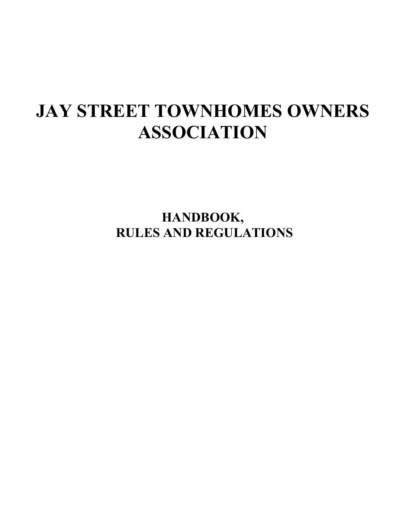# **JAY STREET TOWNHOMES OWNERS ASSOCIATION**

**HANDBOOK, RULES AND REGULATIONS**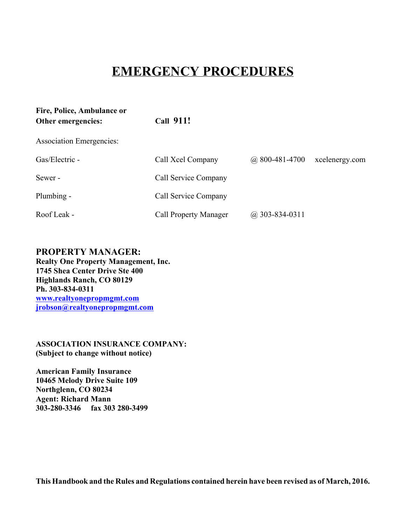# **EMERGENCY PROCEDURES**

| Fire, Police, Ambulance or<br>Other emergencies: | <b>Call 911!</b>             |                    |                |  |  |
|--------------------------------------------------|------------------------------|--------------------|----------------|--|--|
| <b>Association Emergencies:</b>                  |                              |                    |                |  |  |
| Gas/Electric -                                   | Call Xcel Company            | $(a)$ 800-481-4700 | xcelenergy.com |  |  |
| Sewer-                                           | Call Service Company         |                    |                |  |  |
| Plumbing -                                       | Call Service Company         |                    |                |  |  |
| Roof Leak -                                      | <b>Call Property Manager</b> | $(a)$ 303-834-0311 |                |  |  |

# **PROPERTY MANAGER:**

**Realty One Property Management, Inc. 1745 Shea Center Drive Ste 400 Highlands Ranch, CO 80129 Ph. 303-834-0311 www.realtyonepropmgmt.com jrobson@realtyonepropmgmt.com**

**ASSOCIATION INSURANCE COMPANY: (Subject to change without notice)**

**American Family Insurance 10465 Melody Drive Suite 109 Northglenn, CO 80234 Agent: Richard Mann 303-280-3346 fax 303 280-3499**

**This Handbook and the Rules and Regulations contained herein have been revised as of March, 2016.**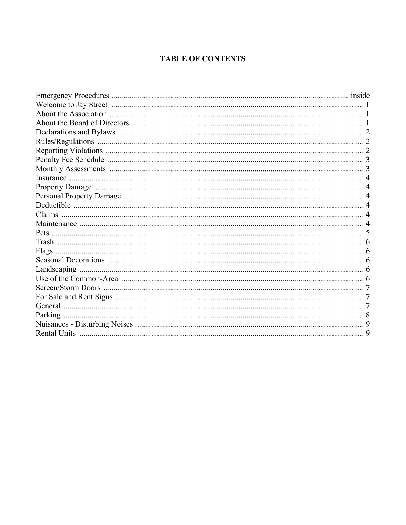# **TABLE OF CONTENTS**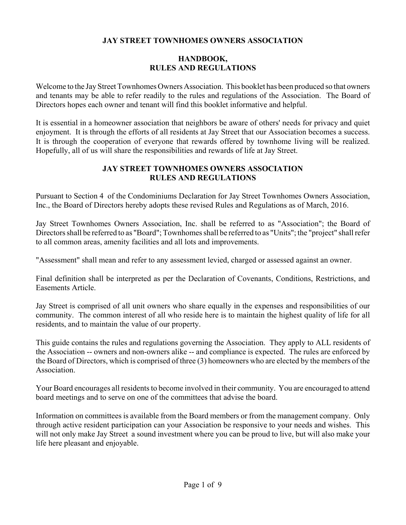# **JAY STREET TOWNHOMES OWNERS ASSOCIATION**

# **HANDBOOK, RULES AND REGULATIONS**

Welcome to the Jay Street Townhomes Owners Association. This booklet has been produced so that owners and tenants may be able to refer readily to the rules and regulations of the Association. The Board of Directors hopes each owner and tenant will find this booklet informative and helpful.

It is essential in a homeowner association that neighbors be aware of others' needs for privacy and quiet enjoyment. It is through the efforts of all residents at Jay Street that our Association becomes a success. It is through the cooperation of everyone that rewards offered by townhome living will be realized. Hopefully, all of us will share the responsibilities and rewards of life at Jay Street.

#### **JAY STREET TOWNHOMES OWNERS ASSOCIATION RULES AND REGULATIONS**

Pursuant to Section 4 of the Condominiums Declaration for Jay Street Townhomes Owners Association, Inc., the Board of Directors hereby adopts these revised Rules and Regulations as of March, 2016.

Jay Street Townhomes Owners Association, Inc. shall be referred to as "Association"; the Board of Directors shall be referred to as "Board"; Townhomes shall be referred to as "Units"; the "project" shall refer to all common areas, amenity facilities and all lots and improvements.

"Assessment" shall mean and refer to any assessment levied, charged or assessed against an owner.

Final definition shall be interpreted as per the Declaration of Covenants, Conditions, Restrictions, and Easements Article.

Jay Street is comprised of all unit owners who share equally in the expenses and responsibilities of our community. The common interest of all who reside here is to maintain the highest quality of life for all residents, and to maintain the value of our property.

This guide contains the rules and regulations governing the Association. They apply to ALL residents of the Association -- owners and non-owners alike -- and compliance is expected. The rules are enforced by the Board of Directors, which is comprised of three (3) homeowners who are elected by the members of the Association.

Your Board encourages all residents to become involved in their community. You are encouraged to attend board meetings and to serve on one of the committees that advise the board.

Information on committees is available from the Board members or from the management company. Only through active resident participation can your Association be responsive to your needs and wishes. This will not only make Jay Street a sound investment where you can be proud to live, but will also make your life here pleasant and enjoyable.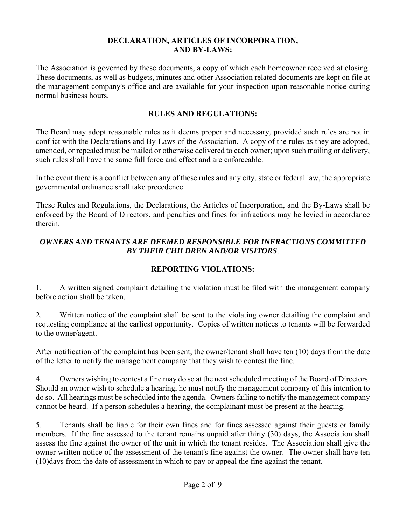#### **DECLARATION, ARTICLES OF INCORPORATION, AND BY-LAWS:**

The Association is governed by these documents, a copy of which each homeowner received at closing. These documents, as well as budgets, minutes and other Association related documents are kept on file at the management company's office and are available for your inspection upon reasonable notice during normal business hours.

#### **RULES AND REGULATIONS:**

The Board may adopt reasonable rules as it deems proper and necessary, provided such rules are not in conflict with the Declarations and By-Laws of the Association. A copy of the rules as they are adopted, amended, or repealed must be mailed or otherwise delivered to each owner; upon such mailing or delivery, such rules shall have the same full force and effect and are enforceable.

In the event there is a conflict between any of these rules and any city, state or federal law, the appropriate governmental ordinance shall take precedence.

These Rules and Regulations, the Declarations, the Articles of Incorporation, and the By-Laws shall be enforced by the Board of Directors, and penalties and fines for infractions may be levied in accordance therein.

# *OWNERS AND TENANTS ARE DEEMED RESPONSIBLE FOR INFRACTIONS COMMITTED BY THEIR CHILDREN AND/OR VISITORS*.

# **REPORTING VIOLATIONS:**

1. A written signed complaint detailing the violation must be filed with the management company before action shall be taken.

2. Written notice of the complaint shall be sent to the violating owner detailing the complaint and requesting compliance at the earliest opportunity. Copies of written notices to tenants will be forwarded to the owner/agent.

After notification of the complaint has been sent, the owner/tenant shall have ten (10) days from the date of the letter to notify the management company that they wish to contest the fine.

4. Owners wishing to contest a fine may do so at the next scheduled meeting of the Board of Directors. Should an owner wish to schedule a hearing, he must notify the management company of this intention to do so. All hearings must be scheduled into the agenda. Owners failing to notify the management company cannot be heard. If a person schedules a hearing, the complainant must be present at the hearing.

5. Tenants shall be liable for their own fines and for fines assessed against their guests or family members. If the fine assessed to the tenant remains unpaid after thirty (30) days, the Association shall assess the fine against the owner of the unit in which the tenant resides. The Association shall give the owner written notice of the assessment of the tenant's fine against the owner. The owner shall have ten (10)days from the date of assessment in which to pay or appeal the fine against the tenant.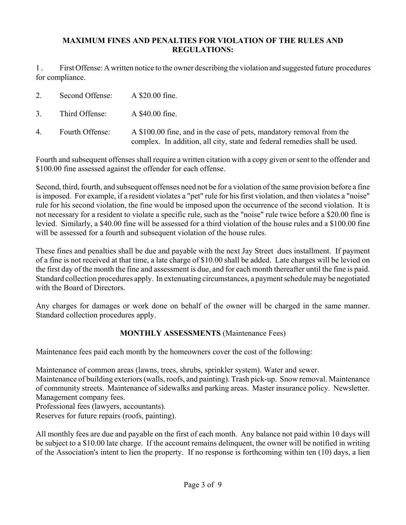#### **MAXIMUM FINES AND PENALTIES FOR VIOLATION OF THE RULES AND REGULATIONS:**

1 . First Offense: A written notice to the owner describing the violation and suggested future procedures for compliance.

|    | Second Offense: | A \$20.00 fine.                                                                                                                                   |
|----|-----------------|---------------------------------------------------------------------------------------------------------------------------------------------------|
| 3. | Third Offense:  | A \$40.00 fine.                                                                                                                                   |
| 4. | Fourth Offense: | A \$100.00 fine, and in the case of pets, mandatory removal from the<br>complex. In addition, all city, state and federal remedies shall be used. |

Fourth and subsequent offenses shall require a written citation with a copy given or sent to the offender and \$100.00 fine assessed against the offender for each offense.

Second, third, fourth, and subsequent offenses need not be for a violation of the same provision before a fine is imposed. For example, if a resident violates a "pet" rule for his first violation, and then violates a "noise" rule for his second violation, the fine would be imposed upon the occurrence of the second violation. It is not necessary for a resident to violate a specific rule, such as the "noise" rule twice before a \$20.00 fine is levied. Similarly, a \$40.00 fine will be assessed for a third violation of the house rules and a \$100.00 fine will be assessed for a fourth and subsequent violation of the house rules.

These fines and penalties shall be due and payable with the next Jay Street dues installment. If payment of a fine is not received at that time, a late charge of \$10.00 shall be added. Late charges will be levied on the first day of the month the fine and assessment is due, and for each month thereafter until the fine is paid. Standard collection procedures apply. In extenuating circumstances, a payment schedule may be negotiated with the Board of Directors.

Any charges for damages or work done on behalf of the owner will be charged in the same manner. Standard collection procedures apply.

# **MONTHLY ASSESSMENTS** (Maintenance Fees)

Maintenance fees paid each month by the homeowners cover the cost of the following:

Maintenance of common areas (lawns, trees, shrubs, sprinkler system). Water and sewer.

Maintenance of building exteriors (walls, roofs, and painting). Trash pick-up. Snow removal. Maintenance of community streets. Maintenance of sidewalks and parking areas. Master insurance policy. Newsletter. Management company fees.

Professional fees (lawyers, accountants).

Reserves for future repairs (roofs, painting).

All monthly fees are due and payable on the first of each month. Any balance not paid within 10 days will be subject to a \$10.00 late charge. If the account remains delinquent, the owner will be notified in writing of the Association's intent to lien the property. If no response is forthcoming within ten (10) days, a lien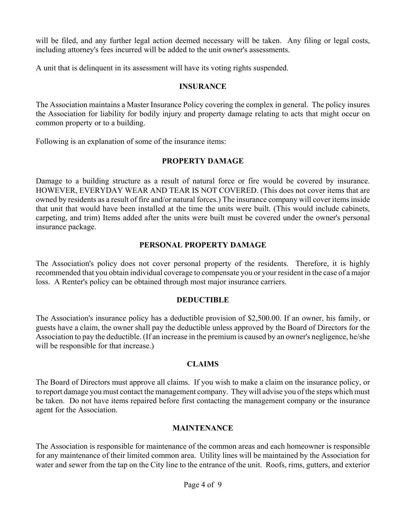will be filed, and any further legal action deemed necessary will be taken. Any filing or legal costs, including attorney's fees incurred will be added to the unit owner's assessments.

A unit that is delinquent in its assessment will have its voting rights suspended.

#### **INSURANCE**

The Association maintains a Master Insurance Policy covering the complex in general. The policy insures the Association for liability for bodily injury and property damage relating to acts that might occur on common property or to a building.

Following is an explanation of some of the insurance items:

#### **PROPERTY DAMAGE**

Damage to a building structure as a result of natural force or fire would be covered by insurance. HOWEVER, EVERYDAY WEAR AND TEAR IS NOT COVERED. (This does not cover items that are owned by residents as a result of fire and/or natural forces.) The insurance company will cover items inside that unit that would have been installed at the time the units were built. (This would include cabinets, carpeting, and trim) Items added after the units were built must be covered under the owner's personal insurance package.

#### **PERSONAL PROPERTY DAMAGE**

The Association's policy does not cover personal property of the residents. Therefore, it is highly recommended that you obtain individual coverage to compensate you or your resident in the case of a major loss. A Renter's policy can be obtained through most major insurance carriers.

#### **DEDUCTIBLE**

The Association's insurance policy has a deductible provision of \$2,500.00. If an owner, his family, or guests have a claim, the owner shall pay the deductible unless approved by the Board of Directors for the Association to pay the deductible. (If an increase in the premium is caused by an owner's negligence, he/she will be responsible for that increase.)

#### **CLAIMS**

The Board of Directors must approve all claims. If you wish to make a claim on the insurance policy, or to report damage you must contact the management company. They will advise you of the steps which must be taken. Do not have items repaired before first contacting the management company or the insurance agent for the Association.

#### **MAINTENANCE**

The Association is responsible for maintenance of the common areas and each homeowner is responsible for any maintenance of their limited common area. Utility lines will be maintained by the Association for water and sewer from the tap on the City line to the entrance of the unit. Roofs, rims, gutters, and exterior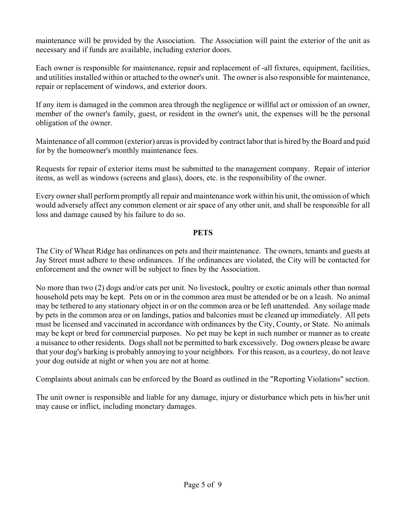maintenance will be provided by the Association. The Association will paint the exterior of the unit as necessary and if funds are available, including exterior doors.

Each owner is responsible for maintenance, repair and replacement of -all fixtures, equipment, facilities, and utilities installed within or attached to the owner's unit. The owner is also responsible for maintenance, repair or replacement of windows, and exterior doors.

If any item is damaged in the common area through the negligence or willful act or omission of an owner, member of the owner's family, guest, or resident in the owner's unit, the expenses will be the personal obligation of the owner.

Maintenance of all common (exterior) areas is provided by contract labor that is hired by the Board and paid for by the homeowner's monthly maintenance fees.

Requests for repair of exterior items must be submitted to the management company. Repair of interior items, as well as windows (screens and glass), doors, etc. is the responsibility of the owner.

Every owner shall perform promptly all repair and maintenance work within his unit, the omission of which would adversely affect any common element or air space of any other unit, and shall be responsible for all loss and damage caused by his failure to do so.

#### **PETS**

The City of Wheat Ridge has ordinances on pets and their maintenance. The owners, tenants and guests at Jay Street must adhere to these ordinances. If the ordinances are violated, the City will be contacted for enforcement and the owner will be subject to fines by the Association.

No more than two (2) dogs and/or cats per unit. No livestock, poultry or exotic animals other than normal household pets may be kept. Pets on or in the common area must be attended or be on a leash. No animal may be tethered to any stationary object in or on the common area or be left unattended. Any soilage made by pets in the common area or on landings, patios and balconies must be cleaned up immediately. All pets must be licensed and vaccinated in accordance with ordinances by the City, County, or State. No animals may be kept or bred for commercial purposes. No pet may be kept in such number or manner as to create a nuisance to other residents. Dogs shall not be permitted to bark excessively. Dog owners please be aware that your dog's barking is probably annoying to your neighbors. For this reason, as a courtesy, do not leave your dog outside at night or when you are not at home.

Complaints about animals can be enforced by the Board as outlined in the "Reporting Violations" section.

The unit owner is responsible and liable for any damage, injury or disturbance which pets in his/her unit may cause or inflict, including monetary damages.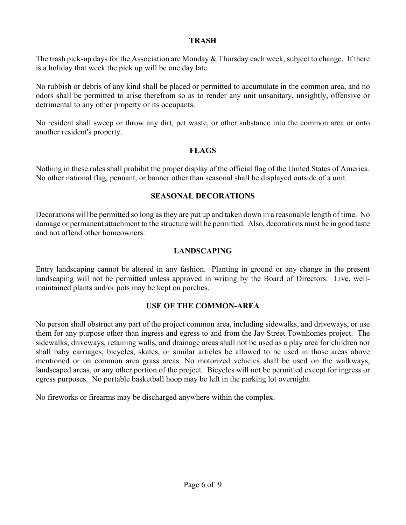#### **TRASH**

The trash pick-up days for the Association are Monday & Thursday each week, subject to change. If there is a holiday that week the pick up will be one day late.

No rubbish or debris of any kind shall be placed or permitted to accumulate in the common area, and no odors shall be permitted to arise therefrom so as to render any unit unsanitary, unsightly, offensive or detrimental to any other property or its occupants.

No resident shall sweep or throw any dirt, pet waste, or other substance into the common area or onto another resident's property.

#### **FLAGS**

Nothing in these rules shall prohibit the proper display of the official flag of the United States of America. No other national flag, pennant, or banner other than seasonal shall be displayed outside of a unit.

#### **SEASONAL DECORATIONS**

Decorations will be permitted so long as they are put up and taken down in a reasonable length of time. No damage or permanent attachment to the structure will be permitted. Also, decorations must be in good taste and not offend other homeowners.

#### **LANDSCAPING**

Entry landscaping cannot be altered in any fashion. Planting in ground or any change in the present landscaping will not be permitted unless approved in writing by the Board of Directors. Live, wellmaintained plants and/or pots may be kept on porches.

#### **USE OF THE COMMON-AREA**

No person shall obstruct any part of the project common area, including sidewalks, and driveways, or use them for any purpose other than ingress and egress to and from the Jay Street Townhomes project. The sidewalks, driveways, retaining walls, and drainage areas shall not be used as a play area for children nor shall baby carriages, bicycles, skates, or similar articles be allowed to be used in those areas above mentioned or on common area grass areas. No motorized vehicles shall be used on the walkways, landscaped areas, or any other portion of the project. Bicycles will not be permitted except for ingress or egress purposes. No portable basketball hoop may be left in the parking lot overnight.

No fireworks or firearms may be discharged anywhere within the complex.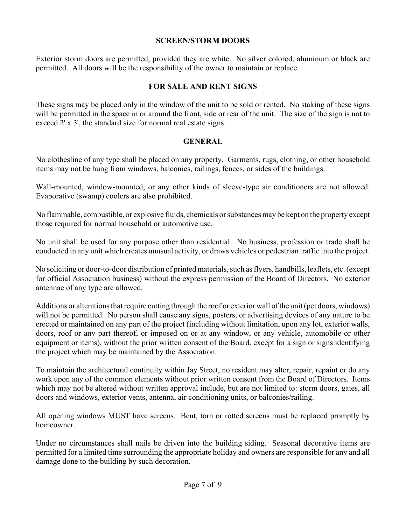#### **SCREEN/STORM DOORS**

Exterior storm doors are permitted, provided they are white. No silver colored, aluminum or black are permitted. All doors will be the responsibility of the owner to maintain or replace.

#### **FOR SALE AND RENT SIGNS**

These signs may be placed only in the window of the unit to be sold or rented. No staking of these signs will be permitted in the space in or around the front, side or rear of the unit. The size of the sign is not to exceed 2' x 3', the standard size for normal real estate signs.

#### **GENERAL**

No clothesline of any type shall be placed on any property. Garments, rugs, clothing, or other household items may not be hung from windows, balconies, railings, fences, or sides of the buildings.

Wall-mounted, window-mounted, or any other kinds of sleeve-type air conditioners are not allowed. Evaporative (swamp) coolers are also prohibited.

No flammable, combustible, or explosive fluids, chemicals or substances may be kept on the property except those required for normal household or automotive use.

No unit shall be used for any purpose other than residential. No business, profession or trade shall be conducted in any unit which creates unusual activity, or draws vehicles or pedestrian traffic into the project.

No soliciting or door-to-door distribution of printed materials, such as flyers, handbills, leaflets, etc. (except for official Association business) without the express permission of the Board of Directors. No exterior antennae of any type are allowed.

Additions or alterations that require cutting through the roof or exterior wall of the unit (pet doors, windows) will not be permitted. No person shall cause any signs, posters, or advertising devices of any nature to be erected or maintained on any part of the project (including without limitation, upon any lot, exterior walls, doors, roof or any part thereof, or imposed on or at any window, or any vehicle, automobile or other equipment or items), without the prior written consent of the Board, except for a sign or signs identifying the project which may be maintained by the Association.

To maintain the architectural continuity within Jay Street, no resident may alter, repair, repaint or do any work upon any of the common elements without prior written consent from the Board of Directors. Items which may not be altered without written approval include, but are not limited to: storm doors, gates, all doors and windows, exterior vents, antenna, air conditioning units, or balconies/railing.

All opening windows MUST have screens. Bent, torn or rotted screens must be replaced promptly by homeowner.

Under no circumstances shall nails be driven into the building siding. Seasonal decorative items are permitted for a limited time surrounding the appropriate holiday and owners are responsible for any and all damage done to the building by such decoration.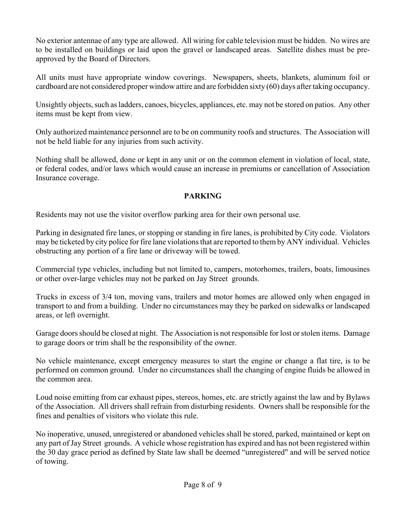No exterior antennae of any type are allowed. All wiring for cable television must be hidden. No wires are to be installed on buildings or laid upon the gravel or landscaped areas. Satellite dishes must be preapproved by the Board of Directors.

All units must have appropriate window coverings. Newspapers, sheets, blankets, aluminum foil or cardboard are not considered proper window attire and are forbidden sixty (60) days after taking occupancy.

Unsightly objects, such as ladders, canoes, bicycles, appliances, etc. may not be stored on patios. Any other items must be kept from view.

Only authorized maintenance personnel are to be on community roofs and structures. The Association will not be held liable for any injuries from such activity.

Nothing shall be allowed, done or kept in any unit or on the common element in violation of local, state, or federal codes, and/or laws which would cause an increase in premiums or cancellation of Association Insurance coverage.

# **PARKING**

Residents may not use the visitor overflow parking area for their own personal use.

Parking in designated fire lanes, or stopping or standing in fire lanes, is prohibited by City code. Violators may be ticketed by city police for fire lane violations that are reported to them by ANY individual. Vehicles obstructing any portion of a fire lane or driveway will be towed.

Commercial type vehicles, including but not limited to, campers, motorhomes, trailers, boats, limousines or other over-large vehicles may not be parked on Jay Street grounds.

Trucks in excess of 3/4 ton, moving vans, trailers and motor homes are allowed only when engaged in transport to and from a building. Under no circumstances may they be parked on sidewalks or landscaped areas, or left overnight.

Garage doors should be closed at night. The Association is not responsible for lost or stolen items. Damage to garage doors or trim shall be the responsibility of the owner.

No vehicle maintenance, except emergency measures to start the engine or change a flat tire, is to be performed on common ground. Under no circumstances shall the changing of engine fluids be allowed in the common area.

Loud noise emitting from car exhaust pipes, stereos, homes, etc. are strictly against the law and by Bylaws of the Association. All drivers shall refrain from disturbing residents. Owners shall be responsible for the fines and penalties of visitors who violate this rule.

No inoperative, unused, unregistered or abandoned vehicles shall be stored, parked, maintained or kept on any part of Jay Street grounds. A vehicle whose registration has expired and has not been registered within the 30 day grace period as defined by State law shall be deemed "unregistered" and will be served notice of towing.